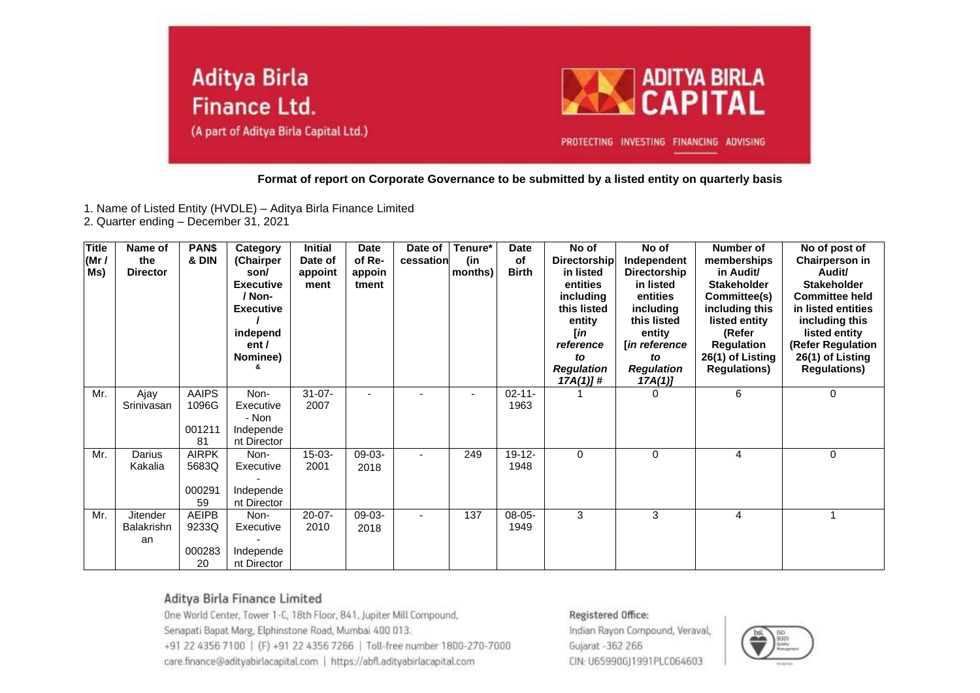

**Format of report on Corporate Governance to be submitted by a listed entity on quarterly basis**

1. Name of Listed Entity (HVDLE) – Aditya Birla Finance Limited

2. Quarter ending – December 31, 2021

| <b>Title</b><br>(Mr $/$<br>Ms) | Name of<br>the<br><b>Director</b>          | PAN\$<br>& DIN                        | Category<br>(Chairper<br>son/<br><b>Executive</b><br>/ Non-<br><b>Executive</b><br>independ<br>ent/<br>Nominee) | <b>Initial</b><br>Date of<br>appoint<br>ment | <b>Date</b><br>of Re-<br>appoin<br>tment | Date of<br>cessation | Tenure*<br>(in<br>months) | <b>Date</b><br>of<br><b>Birth</b> | No of<br><b>Directorship</b><br>in listed<br>entities<br>including<br>this listed<br>entity<br>[in<br>reference<br>to<br><b>Regulation</b><br>$17A(1)$ ]# | No of<br>Independent<br><b>Directorship</b><br>in listed<br>entities<br>including<br>this listed<br>entity<br>[in reference<br>to<br><b>Regulation</b><br>17A(1) | Number of<br>memberships<br>in Audit/<br><b>Stakeholder</b><br>Committee(s)<br>including this<br>listed entity<br>(Refer<br><b>Regulation</b><br>26(1) of Listing<br><b>Regulations)</b> | No of post of<br>Chairperson in<br>Audit/<br><b>Stakeholder</b><br><b>Committee held</b><br>in listed entities<br>including this<br>listed entity<br>(Refer Regulation<br>26(1) of Listing<br><b>Regulations)</b> |
|--------------------------------|--------------------------------------------|---------------------------------------|-----------------------------------------------------------------------------------------------------------------|----------------------------------------------|------------------------------------------|----------------------|---------------------------|-----------------------------------|-----------------------------------------------------------------------------------------------------------------------------------------------------------|------------------------------------------------------------------------------------------------------------------------------------------------------------------|------------------------------------------------------------------------------------------------------------------------------------------------------------------------------------------|-------------------------------------------------------------------------------------------------------------------------------------------------------------------------------------------------------------------|
| Mr.                            | Ajay<br>Srinivasan                         | <b>AAIPS</b><br>1096G<br>001211<br>81 | Non-<br>Executive<br>- Non<br>Independe<br>nt Director                                                          | $31 - 07 -$<br>2007                          |                                          |                      |                           | $02 - 11 -$<br>1963               |                                                                                                                                                           | $\Omega$                                                                                                                                                         | 6                                                                                                                                                                                        | $\mathbf 0$                                                                                                                                                                                                       |
| Mr.                            | Darius<br>Kakalia                          | <b>AIRPK</b><br>5683Q<br>000291<br>59 | Non-<br>Executive<br>Independe<br>nt Director                                                                   | $15 - 03 -$<br>2001                          | $09-03-$<br>2018                         |                      | 249                       | $19 - 12 -$<br>1948               | $\mathbf 0$                                                                                                                                               | 0                                                                                                                                                                | 4                                                                                                                                                                                        | $\mathbf 0$                                                                                                                                                                                                       |
| Mr.                            | <b>Jitender</b><br><b>Balakrishn</b><br>an | <b>AEIPB</b><br>9233Q<br>000283<br>20 | Non-<br>Executive<br>Independe<br>nt Director                                                                   | $20 - 07 -$<br>2010                          | $09-03-$<br>2018                         |                      | 137                       | $08-05-$<br>1949                  | 3                                                                                                                                                         | 3                                                                                                                                                                | 4                                                                                                                                                                                        |                                                                                                                                                                                                                   |

## Aditya Birla Finance Limited

One World Center, Tower 1-C, 18th Floor, 841, Jupiter Mill Compound, Senapati Bapat Marg, Elphinstone Road, Mumbai 400 013. +91 22 4356 7100 | (F) +91 22 4356 7266 | Toll-free number 1800-270-7000 care.finance@adityabirlacapital.com | https://abfl.adityabirlacapital.com

#### Registered Office:

Indian Rayon Compound, Veraval, Gujarat - 362 266 CIN: U65990GJ1991PLC064603

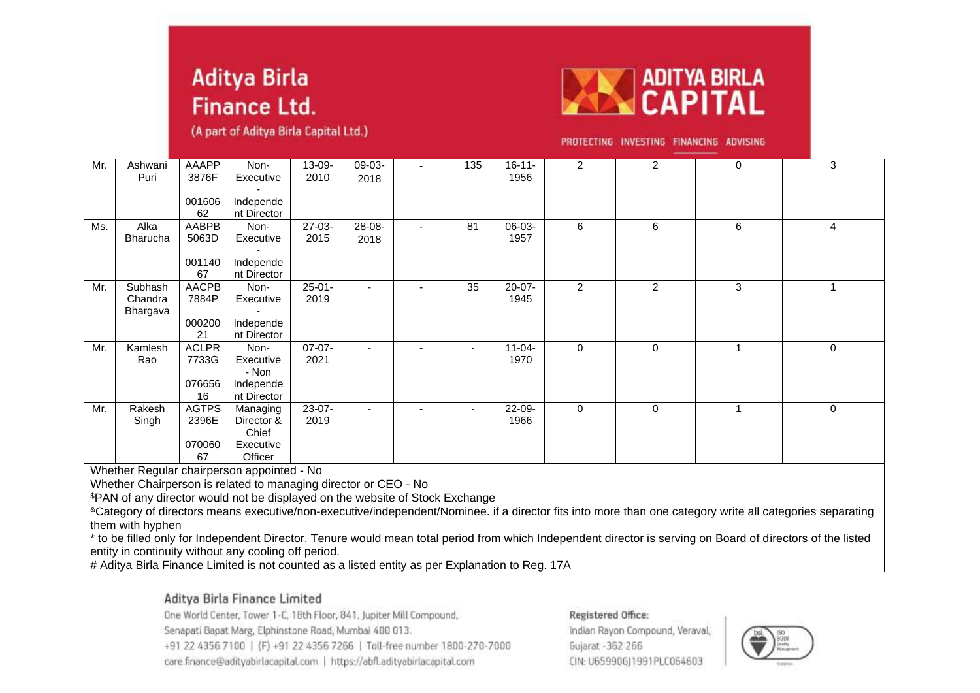(A part of Aditya Birla Capital Ltd.)

PROTECTING INVESTING FINANCING ADVISING

**ADITYA BIRLA CAPITAL** 

| Mr.                                                                           | Ashwani<br>Puri                                                                                                                                          | AAAPP<br>3876F                        | Non-<br>Executive                                       | $13 - 09 -$<br>2010 | 09-03-<br>2018           |  | 135            | $16 - 11 -$<br>1956 | $\overline{2}$ | 2              | $\Omega$ | 3        |
|-------------------------------------------------------------------------------|----------------------------------------------------------------------------------------------------------------------------------------------------------|---------------------------------------|---------------------------------------------------------|---------------------|--------------------------|--|----------------|---------------------|----------------|----------------|----------|----------|
|                                                                               |                                                                                                                                                          | 001606<br>62                          | Independe<br>nt Director                                |                     |                          |  |                |                     |                |                |          |          |
| Ms.                                                                           | Alka<br><b>Bharucha</b>                                                                                                                                  | <b>AABPB</b><br>5063D<br>001140       | Non-<br>Executive<br>Independe                          | $27-03-$<br>2015    | 28-08-<br>2018           |  | 81             | 06-03-<br>1957      | 6              | 6              | 6        | 4        |
|                                                                               |                                                                                                                                                          | 67                                    | nt Director                                             |                     |                          |  |                |                     |                |                |          |          |
| Mr.                                                                           | Subhash<br>Chandra<br>Bhargava                                                                                                                           | <b>AACPB</b><br>7884P                 | Non-<br>Executive                                       | $25 - 01 -$<br>2019 | $\overline{\phantom{a}}$ |  | 35             | $20 - 07 -$<br>1945 | $\overline{2}$ | $\overline{2}$ | 3        |          |
|                                                                               |                                                                                                                                                          | 000200<br>21                          | Independe<br>nt Director                                |                     |                          |  |                |                     |                |                |          |          |
| Mr.                                                                           | Kamlesh<br>Rao                                                                                                                                           | <b>ACLPR</b><br>7733G<br>076656<br>16 | Non-<br>Executive<br>- Non<br>Independe<br>nt Director  | $07-07-$<br>2021    | $\sim$                   |  | $\blacksquare$ | $11 - 04 -$<br>1970 | 0              | $\Omega$       |          | $\Omega$ |
| Mr.                                                                           | Rakesh<br>Singh                                                                                                                                          | <b>AGTPS</b><br>2396E<br>070060<br>67 | Managing<br>Director &<br>Chief<br>Executive<br>Officer | $23-07-$<br>2019    |                          |  |                | $22 - 09 -$<br>1966 | 0              | $\Omega$       |          | $\Omega$ |
| Whether Regular chairperson appointed - No                                    |                                                                                                                                                          |                                       |                                                         |                     |                          |  |                |                     |                |                |          |          |
| Whether Chairperson is related to managing director or CEO - No               |                                                                                                                                                          |                                       |                                                         |                     |                          |  |                |                     |                |                |          |          |
| \$PAN of any director would not be displayed on the website of Stock Exchange |                                                                                                                                                          |                                       |                                                         |                     |                          |  |                |                     |                |                |          |          |
|                                                                               | &Category of directors means executive/non-executive/independent/Nominee. if a director fits into more than one category write all categories separating |                                       |                                                         |                     |                          |  |                |                     |                |                |          |          |
| them with hyphen                                                              |                                                                                                                                                          |                                       |                                                         |                     |                          |  |                |                     |                |                |          |          |

\* to be filled only for Independent Director. Tenure would mean total period from which Independent director is serving on Board of directors of the listed entity in continuity without any cooling off period.

# Aditya Birla Finance Limited is not counted as a listed entity as per Explanation to Reg. 17A

### Aditya Birla Finance Limited

One World Center, Tower 1-C, 18th Floor, 841, Jupiter Mill Compound, Senapati Bapat Marg, Elphinstone Road, Mumbai 400 013. +91 22 4356 7100 | (F) +91 22 4356 7266 | Toll-free number 1800-270-7000 care.finance@adityabirlacapital.com | https://abfl.adityabirlacapital.com

#### Registered Office:

Indian Rayon Compound, Veraval, Gujarat - 362 266 CIN: U65990GJ1991PLC064603

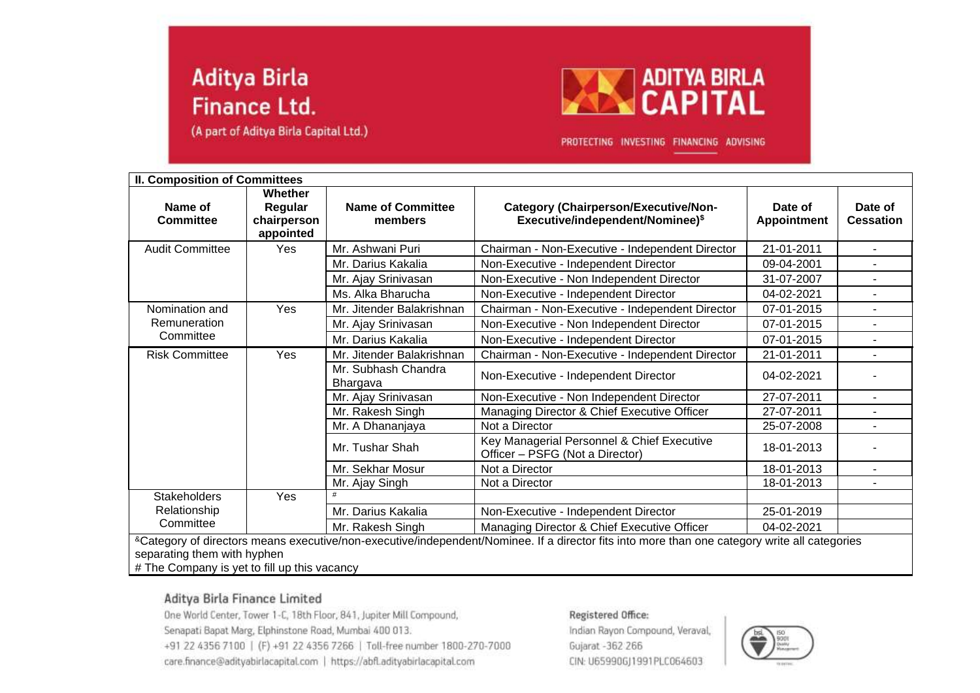(A part of Aditya Birla Capital Ltd.)



PROTECTING INVESTING FINANCING ADVISING

| <b>II. Composition of Committees</b>                                        |                                                |                                                                              |                                                                                                                                               |                               |                             |  |  |  |
|-----------------------------------------------------------------------------|------------------------------------------------|------------------------------------------------------------------------------|-----------------------------------------------------------------------------------------------------------------------------------------------|-------------------------------|-----------------------------|--|--|--|
| Name of<br>Committee                                                        | Whether<br>Regular<br>chairperson<br>appointed | <b>Name of Committee</b><br>members                                          | <b>Category (Chairperson/Executive/Non-</b><br>Executive/independent/Nominee) <sup>\$</sup>                                                   | Date of<br><b>Appointment</b> | Date of<br><b>Cessation</b> |  |  |  |
| <b>Audit Committee</b>                                                      | Yes                                            | Mr. Ashwani Puri                                                             | Chairman - Non-Executive - Independent Director                                                                                               | 21-01-2011                    | $\overline{a}$              |  |  |  |
|                                                                             |                                                | Mr. Darius Kakalia                                                           | Non-Executive - Independent Director                                                                                                          | 09-04-2001                    |                             |  |  |  |
|                                                                             |                                                | Mr. Ajay Srinivasan                                                          | Non-Executive - Non Independent Director                                                                                                      | 31-07-2007                    | $\blacksquare$              |  |  |  |
|                                                                             |                                                | Ms. Alka Bharucha                                                            | Non-Executive - Independent Director                                                                                                          | 04-02-2021                    | $\blacksquare$              |  |  |  |
| Nomination and                                                              | Yes                                            | Mr. Jitender Balakrishnan                                                    | Chairman - Non-Executive - Independent Director                                                                                               | 07-01-2015                    | $\blacksquare$              |  |  |  |
| Remuneration                                                                |                                                | Mr. Ajay Srinivasan                                                          | Non-Executive - Non Independent Director                                                                                                      | 07-01-2015                    |                             |  |  |  |
| Committee                                                                   |                                                | Mr. Darius Kakalia                                                           | Non-Executive - Independent Director                                                                                                          | 07-01-2015                    |                             |  |  |  |
| <b>Risk Committee</b>                                                       | Yes                                            | Mr. Jitender Balakrishnan<br>Chairman - Non-Executive - Independent Director |                                                                                                                                               | 21-01-2011                    | $\overline{a}$              |  |  |  |
|                                                                             |                                                | Mr. Subhash Chandra<br>Bhargava                                              | Non-Executive - Independent Director                                                                                                          | 04-02-2021                    |                             |  |  |  |
|                                                                             |                                                | Mr. Ajay Srinivasan                                                          | Non-Executive - Non Independent Director                                                                                                      | 27-07-2011                    | $\blacksquare$              |  |  |  |
|                                                                             |                                                | Mr. Rakesh Singh                                                             | Managing Director & Chief Executive Officer                                                                                                   | 27-07-2011                    |                             |  |  |  |
|                                                                             |                                                | Mr. A Dhananjaya                                                             | Not a Director                                                                                                                                | 25-07-2008                    |                             |  |  |  |
|                                                                             |                                                | Mr. Tushar Shah                                                              | Key Managerial Personnel & Chief Executive<br>Officer - PSFG (Not a Director)                                                                 | 18-01-2013                    |                             |  |  |  |
|                                                                             |                                                | Mr. Sekhar Mosur                                                             | Not a Director                                                                                                                                | 18-01-2013                    | $\sim$                      |  |  |  |
|                                                                             |                                                | Mr. Ajay Singh                                                               | Not a Director                                                                                                                                | 18-01-2013                    |                             |  |  |  |
| <b>Stakeholders</b>                                                         | Yes                                            |                                                                              |                                                                                                                                               |                               |                             |  |  |  |
| Relationship                                                                |                                                | Mr. Darius Kakalia                                                           | Non-Executive - Independent Director                                                                                                          | 25-01-2019                    |                             |  |  |  |
| Committee                                                                   |                                                | Mr. Rakesh Singh                                                             | Managing Director & Chief Executive Officer                                                                                                   | 04-02-2021                    |                             |  |  |  |
| separating them with hyphen<br># The Company is yet to fill up this vacancy |                                                |                                                                              | &Category of directors means executive/non-executive/independent/Nominee. If a director fits into more than one category write all categories |                               |                             |  |  |  |

## Aditya Birla Finance Limited

One World Center, Tower 1-C, 18th Floor, 841, Jupiter Mill Compound, Senapati Bapat Marg, Elphinstone Road, Mumbai 400 013. +91 22 4356 7100 | (F) +91 22 4356 7266 | Toll-free number 1800-270-7000 care.finance@adityabirlacapital.com | https://abfl.adityabirlacapital.com

#### Registered Office:

Indian Rayon Compound, Veraval, Gujarat -362 266 CIN: U65990GJ1991PLC064603

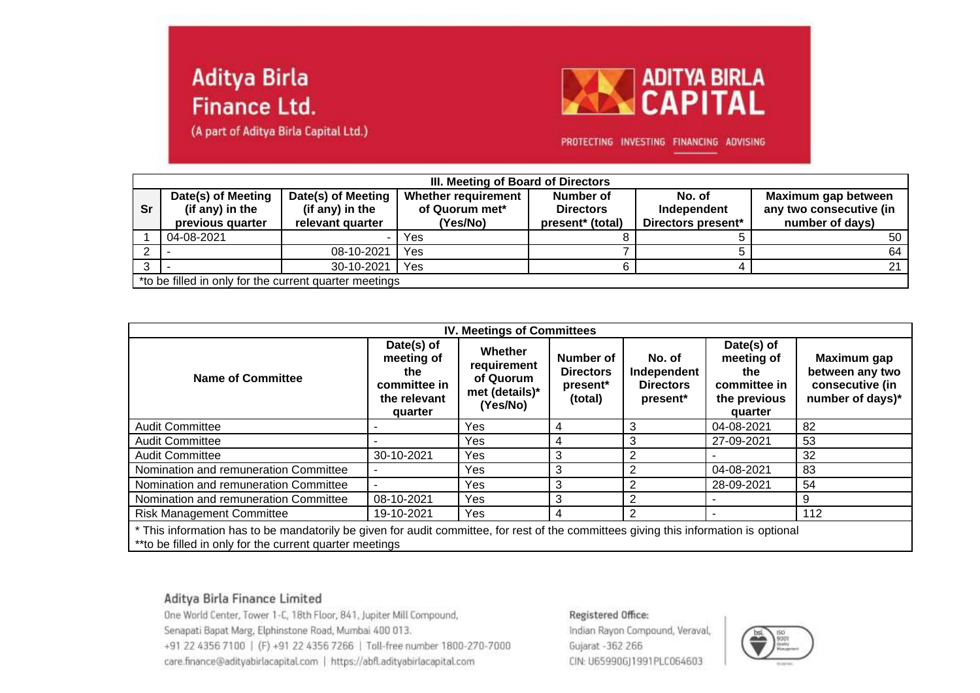(A part of Aditya Birla Capital Ltd.)



PROTECTING INVESTING FINANCING ADVISING

|           | III. Meeting of Board of Directors                        |                                                           |                                                          |                                                   |                                             |                                                                   |  |  |  |
|-----------|-----------------------------------------------------------|-----------------------------------------------------------|----------------------------------------------------------|---------------------------------------------------|---------------------------------------------|-------------------------------------------------------------------|--|--|--|
| <b>Sr</b> | Date(s) of Meeting<br>(if any) in the<br>previous quarter | Date(s) of Meeting<br>(if any) in the<br>relevant quarter | <b>Whether requirement</b><br>of Quorum met*<br>(Yes/No) | Number of<br><b>Directors</b><br>present* (total) | No. of<br>Independent<br>Directors present* | Maximum gap between<br>any two consecutive (in<br>number of days) |  |  |  |
|           | 04-08-2021                                                |                                                           | Yes                                                      |                                                   |                                             | 50                                                                |  |  |  |
|           |                                                           | 08-10-2021                                                | Yes                                                      |                                                   |                                             | 64                                                                |  |  |  |
|           |                                                           | 30-10-2021                                                | Yes                                                      |                                                   |                                             | ິ                                                                 |  |  |  |
|           | *to be filled in only for the current quarter meetings    |                                                           |                                                          |                                                   |                                             |                                                                   |  |  |  |

| <b>IV. Meetings of Committees</b>                                                                                                                                                                |                                                                            |                                                                   |                                                      |                                                       |                                                                            |                                                                       |  |  |
|--------------------------------------------------------------------------------------------------------------------------------------------------------------------------------------------------|----------------------------------------------------------------------------|-------------------------------------------------------------------|------------------------------------------------------|-------------------------------------------------------|----------------------------------------------------------------------------|-----------------------------------------------------------------------|--|--|
| <b>Name of Committee</b>                                                                                                                                                                         | Date(s) of<br>meeting of<br>the<br>committee in<br>the relevant<br>quarter | Whether<br>requirement<br>of Quorum<br>met (details)*<br>(Yes/No) | Number of<br><b>Directors</b><br>present*<br>(total) | No. of<br>Independent<br><b>Directors</b><br>present* | Date(s) of<br>meeting of<br>the<br>committee in<br>the previous<br>quarter | Maximum gap<br>between any two<br>consecutive (in<br>number of days)* |  |  |
| <b>Audit Committee</b>                                                                                                                                                                           |                                                                            | Yes                                                               | 4                                                    | 3                                                     | 04-08-2021                                                                 | 82                                                                    |  |  |
| <b>Audit Committee</b>                                                                                                                                                                           |                                                                            | Yes                                                               | 4                                                    | 3                                                     | 27-09-2021                                                                 | 53                                                                    |  |  |
| <b>Audit Committee</b>                                                                                                                                                                           | 30-10-2021                                                                 | Yes                                                               | 3                                                    | 2                                                     |                                                                            | 32                                                                    |  |  |
| Nomination and remuneration Committee                                                                                                                                                            |                                                                            | Yes                                                               | 3                                                    | $\mathfrak{p}$                                        | 04-08-2021                                                                 | 83                                                                    |  |  |
| Nomination and remuneration Committee                                                                                                                                                            |                                                                            | Yes                                                               | 3                                                    | 2                                                     | 28-09-2021                                                                 | 54                                                                    |  |  |
| Nomination and remuneration Committee                                                                                                                                                            | 08-10-2021                                                                 | Yes                                                               | 3                                                    | 2                                                     |                                                                            | 9                                                                     |  |  |
| <b>Risk Management Committee</b>                                                                                                                                                                 | 19-10-2021                                                                 | Yes                                                               | 4                                                    | 2                                                     |                                                                            | 112                                                                   |  |  |
| * This information has to be mandatorily be given for audit committee, for rest of the committees giving this information is optional<br>**to be filled in only for the current quarter meetings |                                                                            |                                                                   |                                                      |                                                       |                                                                            |                                                                       |  |  |

## Aditya Birla Finance Limited

One World Center, Tower 1-C, 18th Floor, 841, Jupiter Mill Compound, Senapati Bapat Marg, Elphinstone Road, Mumbai 400 013. +91 22 4356 7100 | (F) +91 22 4356 7266 | Toll-free number 1800-270-7000 care.finance@adityabirlacapital.com | https://abfl.adityabirlacapital.com

#### Registered Office:

Indian Rayon Compound, Veraval, Gujarat - 362 266 CIN: U65990GJ1991PLC064603